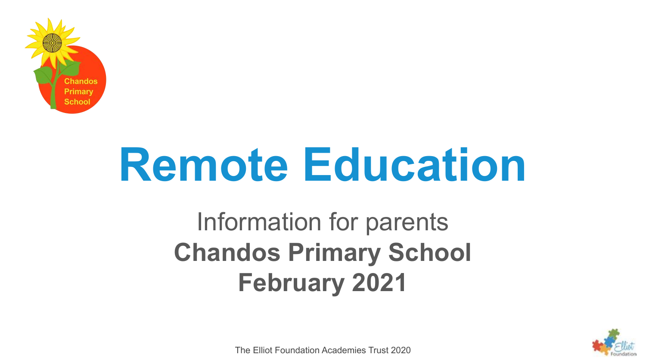

# **Remote Education**

Information for parents **Chandos Primary School February 2021**



The Elliot Foundation Academies Trust 2020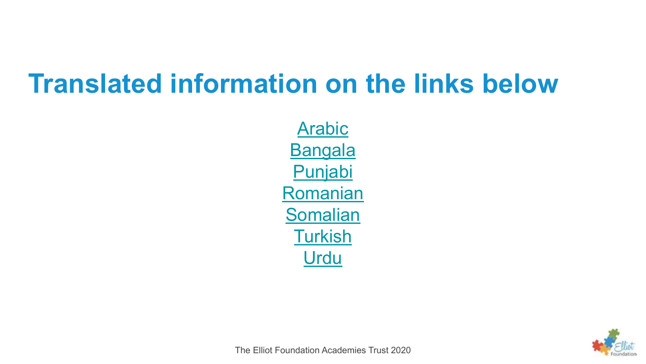#### **Translated information on the links below**

**[Arabic](https://www.chandos.bham.sch.uk/_site/data/files/documents/CD74C37C46E2DA0FB0D6ABCBD6A0095D.pdf) [Bangala](https://www.chandos.bham.sch.uk/_site/data/files/documents/61C17565D394B9825A8F6799D2726429.pdf)** [Punjabi](https://www.chandos.bham.sch.uk/_site/data/files/documents/2565837A0E2CCA1636C5097C0429C7AC.pdf) [Romanian](https://www.chandos.bham.sch.uk/_site/data/files/documents/0E1B0B5551DCFE53AFBC7445B66851D0.pdf) [Somalian](https://www.chandos.bham.sch.uk/_site/data/files/documents/226D113707DFBAAB1AE8AD0490C9E636.pdf) **[Turkish](https://www.chandos.bham.sch.uk/_site/data/files/documents/DAAFA63A34990704B34E0D24CA1D2A55.pdf)** [Urdu](https://www.chandos.bham.sch.uk/_site/data/files/documents/C495F87556BDC1F3B846AE6BAFF8B01B.pdf)



The Elliot Foundation Academies Trust 2020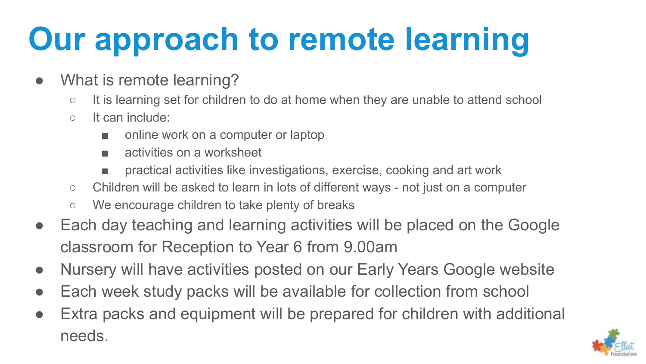# **Our approach to remote learning**

- What is remote learning?
	- It is learning set for children to do at home when they are unable to attend school
	- It can include:
		- online work on a computer or laptop
		- activities on a worksheet
		- practical activities like investigations, exercise, cooking and art work
	- Children will be asked to learn in lots of different ways not just on a computer
	- We encourage children to take plenty of breaks
- Each day teaching and learning activities will be placed on the Google classroom for Reception to Year 6 from 9.00am
- Nursery will have activities posted on our Early Years Google website
- Each week study packs will be available for collection from school
- Extra packs and equipment will be prepared for children with additional needs.

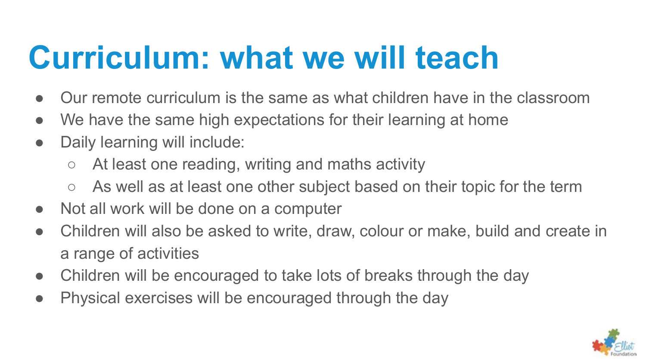### **Curriculum: what we will teach**

- Our remote curriculum is the same as what children have in the classroom
- We have the same high expectations for their learning at home
- Daily learning will include:
	- At least one reading, writing and maths activity
	- As well as at least one other subject based on their topic for the term
- Not all work will be done on a computer
- Children will also be asked to write, draw, colour or make, build and create in a range of activities
- Children will be encouraged to take lots of breaks through the day
- Physical exercises will be encouraged through the day

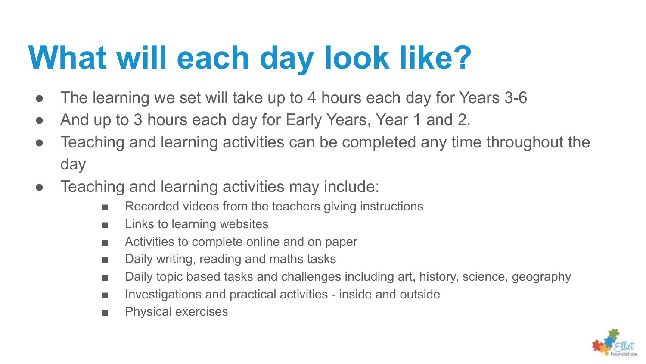# **What will each day look like?**

- The learning we set will take up to 4 hours each day for Years 3-6
- And up to 3 hours each day for Early Years, Year 1 and 2.
- Teaching and learning activities can be completed any time throughout the day
- Teaching and learning activities may include:
	- Recorded videos from the teachers giving instructions
	- Links to learning websites
	- Activities to complete online and on paper
	- Daily writing, reading and maths tasks
	- Daily topic based tasks and challenges including art, history, science, geography
	- Investigations and practical activities inside and outside
	- Physical exercises

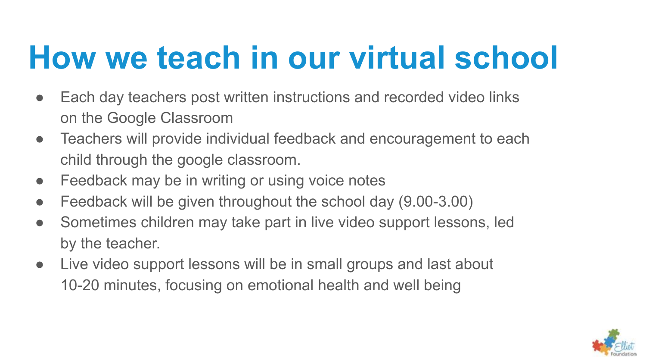### **How we teach in our virtual school**

- Each day teachers post written instructions and recorded video links on the Google Classroom
- Teachers will provide individual feedback and encouragement to each child through the google classroom.
- Feedback may be in writing or using voice notes
- Feedback will be given throughout the school day (9.00-3.00)
- Sometimes children may take part in live video support lessons, led by the teacher.
- Live video support lessons will be in small groups and last about 10-20 minutes, focusing on emotional health and well being

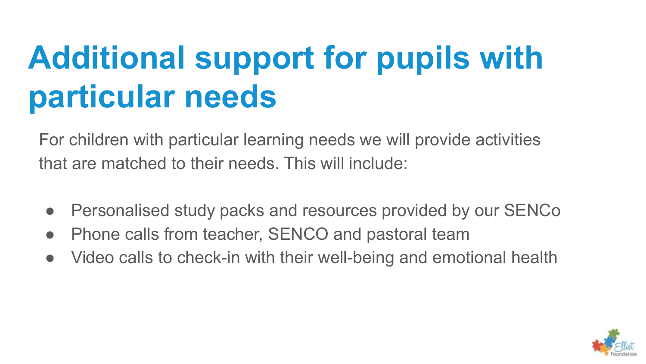# **Additional support for pupils with particular needs**

For children with particular learning needs we will provide activities that are matched to their needs. This will include:

- Personalised study packs and resources provided by our SENCo
- Phone calls from teacher, SENCO and pastoral team
- Video calls to check-in with their well-being and emotional health

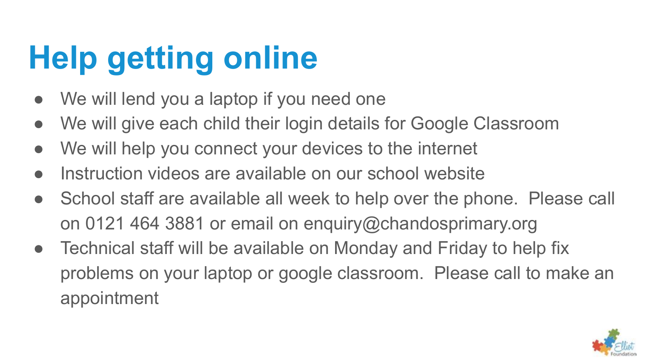# **Help getting online**

- We will lend you a laptop if you need one
- We will give each child their login details for Google Classroom
- We will help you connect your devices to the internet
- Instruction videos are available on our school website
- School staff are available all week to help over the phone. Please call on 0121 464 3881 or email on enquiry@chandosprimary.org
- Technical staff will be available on Monday and Friday to help fix problems on your laptop or google classroom. Please call to make an appointment

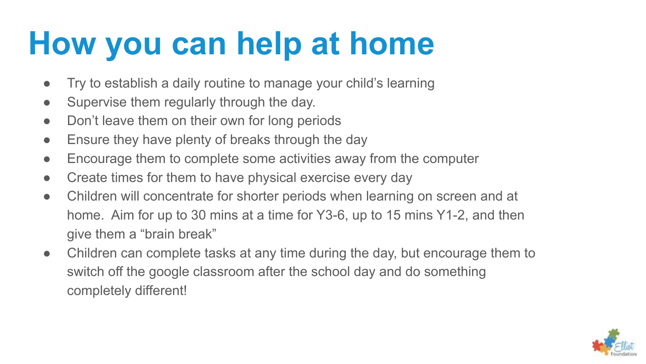#### **How you can help at home**

- Try to establish a daily routine to manage your child's learning
- Supervise them regularly through the day.
- Don't leave them on their own for long periods
- Ensure they have plenty of breaks through the day
- Encourage them to complete some activities away from the computer
- Create times for them to have physical exercise every day
- Children will concentrate for shorter periods when learning on screen and at home. Aim for up to 30 mins at a time for Y3-6, up to 15 mins Y1-2, and then give them a "brain break"
- Children can complete tasks at any time during the day, but encourage them to switch off the google classroom after the school day and do something completely different!